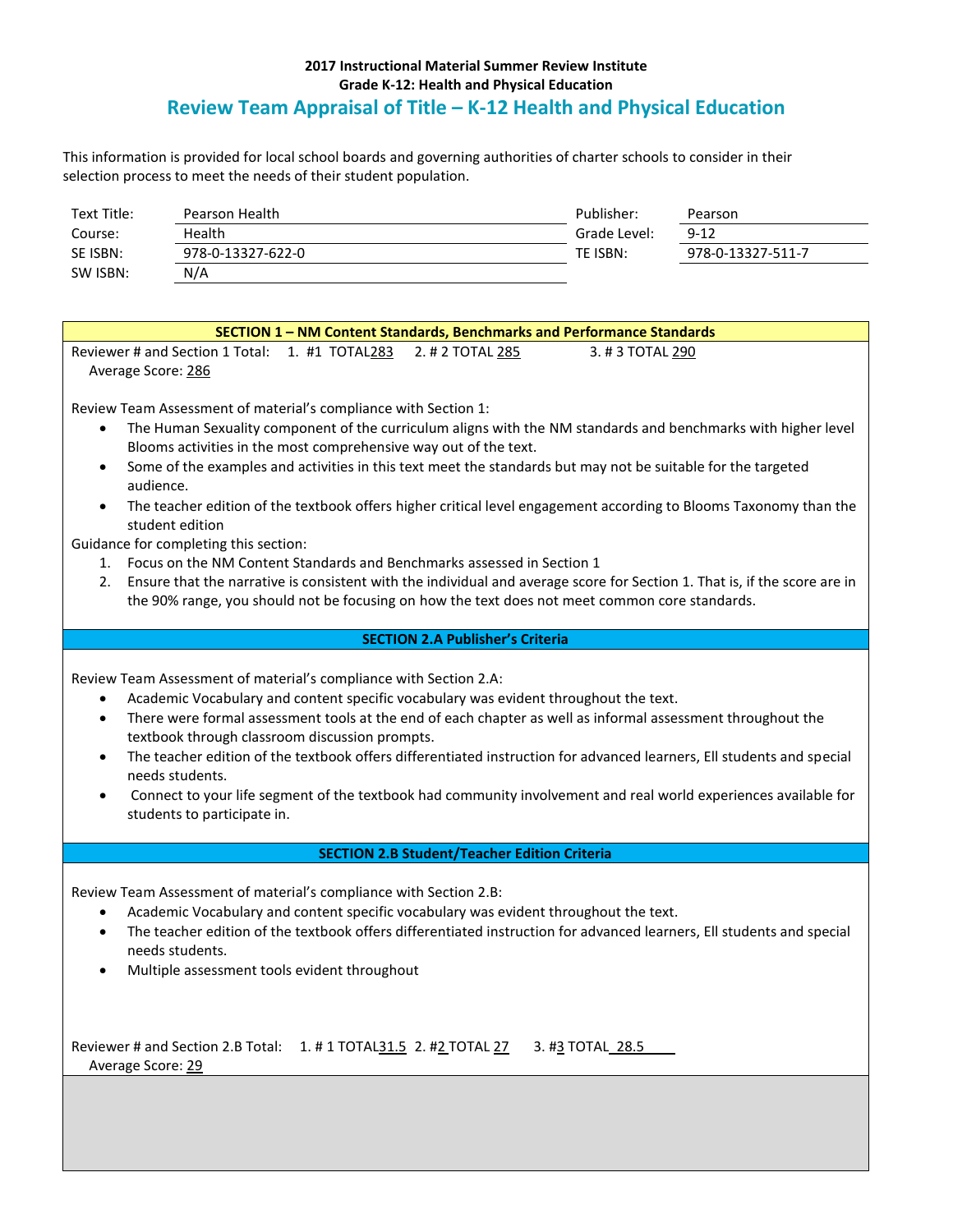## **2017 Instructional Material Summer Review Institute Grade K-12: Health and Physical Education Review Team Appraisal of Title – K-12 Health and Physical Education**

This information is provided for local school boards and governing authorities of charter schools to consider in their selection process to meet the needs of their student population.

| Text Title: | Pearson Health    | Publisher:   | Pearson           |
|-------------|-------------------|--------------|-------------------|
| Course:     | Health            | Grade Level: | $9 - 12$          |
| SE ISBN:    | 978-0-13327-622-0 | TE ISBN:     | 978-0-13327-511-7 |
| SW ISBN:    | N/A               |              |                   |

| SECTION 1 - NM Content Standards, Benchmarks and Performance Standards                                                             |  |  |  |
|------------------------------------------------------------------------------------------------------------------------------------|--|--|--|
| Reviewer # and Section 1 Total: 1. #1 TOTAL283<br>2. # 2 TOTAL 285<br>3. #3 TOTAL 290                                              |  |  |  |
| Average Score: 286                                                                                                                 |  |  |  |
|                                                                                                                                    |  |  |  |
| Review Team Assessment of material's compliance with Section 1:                                                                    |  |  |  |
| The Human Sexuality component of the curriculum aligns with the NM standards and benchmarks with higher level<br>$\bullet$         |  |  |  |
| Blooms activities in the most comprehensive way out of the text.                                                                   |  |  |  |
| Some of the examples and activities in this text meet the standards but may not be suitable for the targeted<br>$\bullet$          |  |  |  |
| audience.                                                                                                                          |  |  |  |
| The teacher edition of the textbook offers higher critical level engagement according to Blooms Taxonomy than the<br>$\bullet$     |  |  |  |
| student edition                                                                                                                    |  |  |  |
| Guidance for completing this section:                                                                                              |  |  |  |
| 1. Focus on the NM Content Standards and Benchmarks assessed in Section 1                                                          |  |  |  |
| Ensure that the narrative is consistent with the individual and average score for Section 1. That is, if the score are in<br>2.    |  |  |  |
| the 90% range, you should not be focusing on how the text does not meet common core standards.                                     |  |  |  |
|                                                                                                                                    |  |  |  |
| <b>SECTION 2.A Publisher's Criteria</b>                                                                                            |  |  |  |
|                                                                                                                                    |  |  |  |
| Review Team Assessment of material's compliance with Section 2.A:                                                                  |  |  |  |
| Academic Vocabulary and content specific vocabulary was evident throughout the text.<br>$\bullet$                                  |  |  |  |
| There were formal assessment tools at the end of each chapter as well as informal assessment throughout the<br>$\bullet$           |  |  |  |
| textbook through classroom discussion prompts.                                                                                     |  |  |  |
| The teacher edition of the textbook offers differentiated instruction for advanced learners, Ell students and special<br>$\bullet$ |  |  |  |
| needs students.                                                                                                                    |  |  |  |
| Connect to your life segment of the textbook had community involvement and real world experiences available for<br>$\bullet$       |  |  |  |
| students to participate in.                                                                                                        |  |  |  |
|                                                                                                                                    |  |  |  |
| <b>SECTION 2.B Student/Teacher Edition Criteria</b>                                                                                |  |  |  |
|                                                                                                                                    |  |  |  |
| Review Team Assessment of material's compliance with Section 2.B:                                                                  |  |  |  |
| Academic Vocabulary and content specific vocabulary was evident throughout the text.<br>$\bullet$                                  |  |  |  |
| The teacher edition of the textbook offers differentiated instruction for advanced learners, Ell students and special<br>$\bullet$ |  |  |  |
| needs students.                                                                                                                    |  |  |  |
| Multiple assessment tools evident throughout<br>$\bullet$                                                                          |  |  |  |
|                                                                                                                                    |  |  |  |
|                                                                                                                                    |  |  |  |

Reviewer # and Section 2.B Total: 1. # 1 TOTAL 31.5 2. # 2 TOTAL 27 3. # 3 TOTAL 28.5 Average Score: 29